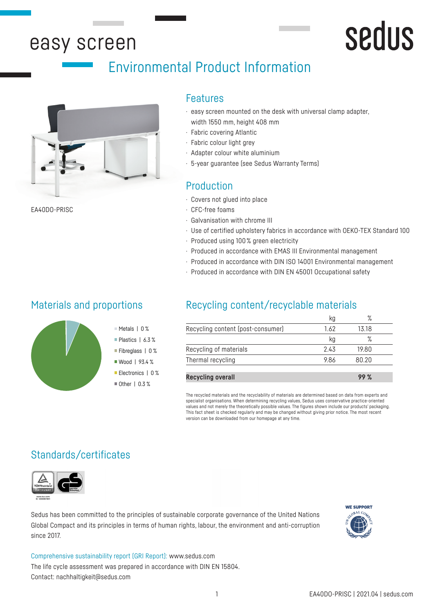# easy screen

# Environmental Product Information



EA40DO-PRISC

### Features

- · easy screen mounted on the desk with universal clamp adapter, width 1550 mm, height 408 mm
- · Fabric covering Atlantic
- · Fabric colour light grey
- · Adapter colour white aluminium
- · 5-year guarantee (see Sedus Warranty Terms)

# Production

- · Covers not glued into place
- · CFC-free foams
- · Galvanisation with chrome III
- · Use of certified upholstery fabrics in accordance with OEKO-TEX Standard 100

sedus

- · Produced using 100 % green electricity
- · Produced in accordance with EMAS III Environmental management
- · Produced in accordance with DIN ISO 14001 Environmental management
- · Produced in accordance with DIN EN 45001 Occupational safety

### Materials and proportions



- Metals | 0 %
- Plastics | 6.3%
- Fibreglass | 0 % ■ Wood | 93.4 %
- Electronics | 0 %
- $\blacksquare$  Other | 0.3 %

# Recycling content/recyclable materials

|                                   |      | $\circ$ |  |
|-----------------------------------|------|---------|--|
| Recycling content (post-consumer) | 1.62 | 13.18   |  |
|                                   | κg   |         |  |
| Recycling of materials            | 2.43 | 19.80   |  |
| Thermal recycling                 | 9.86 | 80.20   |  |
|                                   |      |         |  |

**Recycling overall 99 %**

The recycled materials and the recyclability of materials are determined based on data from experts and specialist organisations. When determining recycling values, Sedus uses conservative practice-oriented values and not merely the theoretically possible values. The figures shown include our products' packaging. This fact sheet is checked regularly and may be changed without giving prior notice. The most recent version can be downloaded from our homepage at any time.

# Standards/certificates



Sedus has been committed to the principles of sustainable corporate governance of the United Nations Global Compact and its principles in terms of human rights, labour, the environment and anti-corruption since 2017.

Comprehensive sustainability report (GRI Report): www.sedus.com The life cycle assessment was prepared in accordance with DIN EN 15804. Contact: nachhaltigkeit@sedus.com

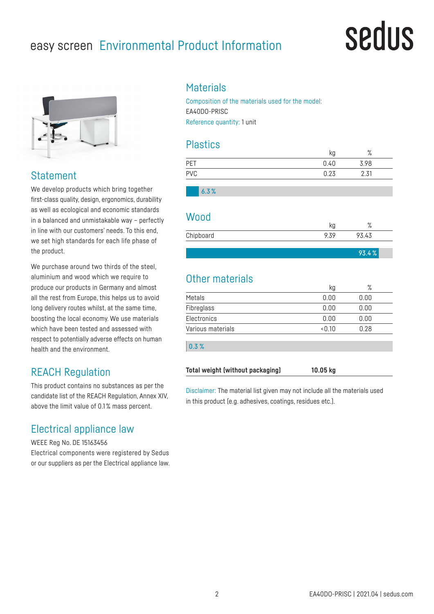# easy screen Environmental Product Information

# sedus

93.4 %



# **Statement**

We develop products which bring together first-class quality, design, ergonomics, durability as well as ecological and economic standards in a balanced and unmistakable way – perfectly in line with our customers' needs. To this end, we set high standards for each life phase of the product.

We purchase around two thirds of the steel. aluminium and wood which we require to produce our products in Germany and almost all the rest from Europe, this helps us to avoid long delivery routes whilst, at the same time, boosting the local economy. We use materials which have been tested and assessed with respect to potentially adverse effects on human health and the environment.

# REACH Regulation

This product contains no substances as per the candidate list of the REACH Regulation, Annex XIV, above the limit value of 0.1 % mass percent.

# Electrical appliance law

WEEE Reg No. DE 15163456 Electrical components were registered by Sedus or our suppliers as per the Electrical appliance law.

## **Materials**

Composition of the materials used for the model: EA40DO-PRISC Reference quantity: 1 unit

### **Plastics**

|            | κg   | $\circ$<br>70 |  |
|------------|------|---------------|--|
| PET        | 0.40 | 3.98          |  |
| <b>PVC</b> | 0.23 | 2.31          |  |
|            |      |               |  |

6.3 %

#### Wood

| Chipboard |  |  |
|-----------|--|--|
|           |  |  |

| Other materials   |       |      |  |
|-------------------|-------|------|--|
|                   | kg    | ℅    |  |
| Metals            | 0.00  | 0.00 |  |
| Fibreglass        | 0.00  | 0.00 |  |
| Electronics       | 0.00  | 0.00 |  |
| Various materials | <0.10 | 0.28 |  |
|                   |       |      |  |
| 0.3%              |       |      |  |
|                   |       |      |  |

**Total weight (without packaging) 10.05 kg**

Disclaimer: The material list given may not include all the materials used in this product (e.g. adhesives, coatings, residues etc.).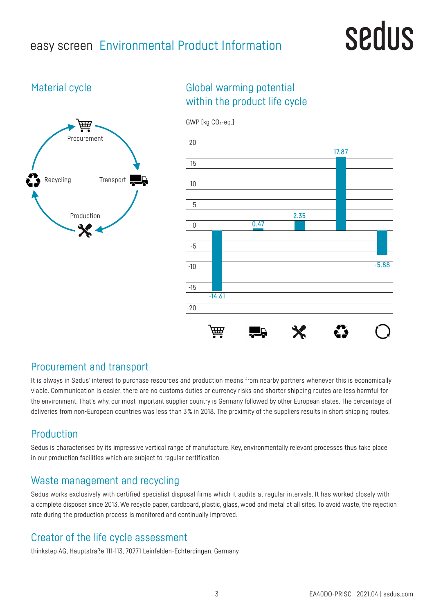# easy screen Environmental Product Information

# sedus

# Material cycle



# Global warming potential within the product life cycle



# Procurement and transport

It is always in Sedus' interest to purchase resources and production means from nearby partners whenever this is economically viable. Communication is easier, there are no customs duties or currency risks and shorter shipping routes are less harmful for the environment. That's why, our most important supplier country is Germany followed by other European states. The percentage of deliveries from non-European countries was less than 3% in 2018. The proximity of the suppliers results in short shipping routes.

# Production

Sedus is characterised by its impressive vertical range of manufacture. Key, environmentally relevant processes thus take place in our production facilities which are subject to regular certification.

# Waste management and recycling

Sedus works exclusively with certified specialist disposal firms which it audits at regular intervals. It has worked closely with a complete disposer since 2013. We recycle paper, cardboard, plastic, glass, wood and metal at all sites. To avoid waste, the rejection rate during the production process is monitored and continually improved.

# Creator of the life cycle assessment

thinkstep AG, Hauptstraße 111-113, 70771 Leinfelden-Echterdingen, Germany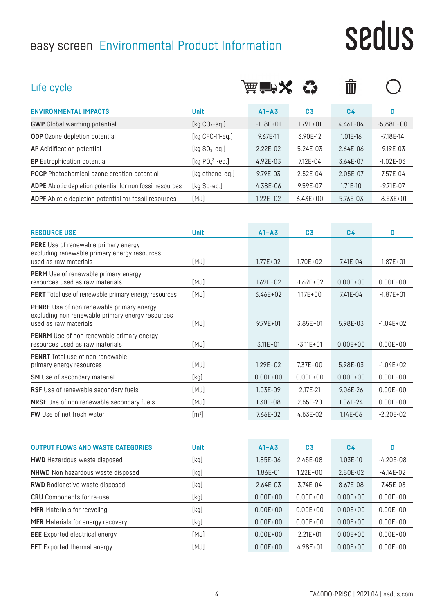# easy screen Environmental Product Information

# sedus

| Life cycle                                                                                                                    |                       | 声音メ           |                | Ŵ              |               |
|-------------------------------------------------------------------------------------------------------------------------------|-----------------------|---------------|----------------|----------------|---------------|
| <b>ENVIRONMENTAL IMPACTS</b>                                                                                                  | <b>Unit</b>           | $A1 - A3$     | C <sub>3</sub> | C <sub>4</sub> | D             |
| <b>GWP</b> Global warming potential                                                                                           | [kg $CO2$ -eq.]       | $-1.18E + 01$ | $1.79E + 01$   | 4.46E-04       | $-5.88E+00$   |
| <b>ODP</b> Ozone depletion potential                                                                                          | [ $kg$ CFC-11-eq.]    | 9.67E-11      | 3.90E-12       | 1.01E-16       | $-7.18E - 14$ |
| <b>AP</b> Acidification potential                                                                                             | [ $kg SO2 - eq.$ ]    | 2.22E-02      | 5.24E-03       | 2.64E-06       | $-9.19E - 03$ |
| <b>EP</b> Eutrophication potential                                                                                            | [kg $PO_4^{3-}$ -eq.] | 4.92E-03      | 7.12E-04       | 3.64E-07       | $-1.02E - 03$ |
| <b>POCP</b> Photochemical ozone creation potential                                                                            | [kg ethene-eq.]       | 9.79E-03      | 2.52E-04       | 2.05E-07       | $-7.57E - 04$ |
| ADPE Abiotic depletion potential for non fossil resources                                                                     | [kg Sb-eq.]           | 4.38E-06      | 9.59E-07       | $1.71E-10$     | $-9.71E - 07$ |
| <b>ADPF</b> Abiotic depletion potential for fossil resources                                                                  | [MJ]                  | $1.22E + 02$  | $6.43E + 00$   | 5.76E-03       | $-8.53E+01$   |
| <b>RESOURCE USE</b>                                                                                                           | <b>Unit</b>           | $A1 - A3$     | C <sub>3</sub> | C <sub>4</sub> | D             |
| <b>PERE</b> Use of renewable primary energy<br>excluding renewable primary energy resources<br>used as raw materials          | [MJ]                  | $1.77E + 02$  | $1.70E + 02$   | $7.41E - 04$   | $-1.87E + 01$ |
| <b>PERM</b> Use of renewable primary energy<br>resources used as raw materials                                                | [MJ]                  | $1.69E + 02$  | $-1.69E + 02$  | $0.00E + 00$   | $0.00E + 00$  |
| <b>PERT</b> Total use of renewable primary energy resources                                                                   | [MJ]                  | $3.46E + 02$  | $1.17E + 00$   | $7.41E - 04$   | $-1.87E + 01$ |
| <b>PENRE</b> Use of non renewable primary energy<br>excluding non renewable primary energy resources<br>used as raw materials | [MJ]                  | $9.79E + 01$  | $3.85E + 01$   | 5.98E-03       | $-1.04E + 02$ |
| <b>PENRM</b> Use of non renewable primary energy                                                                              |                       |               |                |                |               |

| <b>PENRM</b> Use of non renewable primary energy<br>resources used as raw materials | [MJ]                       | $3.11E + 01$ | $-3.11E + 01$ | $0.00E + 00$ | $0.00E + 00$  |
|-------------------------------------------------------------------------------------|----------------------------|--------------|---------------|--------------|---------------|
| <b>PENRT</b> Total use of non renewable<br>primary energy resources                 | [MJ]                       | $1.29E + 02$ | $7.37E + 00$  | 5.98E-03     | $-1.04E + 02$ |
| <b>SM</b> Use of secondary material                                                 | [kg]                       | $0.00E + 00$ | $0.00E + 00$  | $0.00E + 00$ | $0.00E + 00$  |
| <b>RSF</b> Use of renewable secondary fuels                                         | [MJ]                       | 1.03E-09     | 2.17F-21      | 9.06E-26     | $0.00E + 00$  |
| NRSF Use of non renewable secondary fuels                                           | [MJ]                       | 1.30E-08     | $2.55E-20$    | 1.06E-24     | $0.00E + 00$  |
| <b>FW</b> Use of net fresh water                                                    | $[{\sf m}^{\mathfrak{z}}]$ | 7.66E-02     | 4.53E-02      | 1.14E-06     | $-2.20E - 02$ |

| <b>OUTPUT FLOWS AND WASTE CATEGORIES</b> | <b>Unit</b> | $A1 - A3$    | C <sub>3</sub> | C <sub>4</sub> | D             |
|------------------------------------------|-------------|--------------|----------------|----------------|---------------|
| <b>HWD</b> Hazardous waste disposed      | [kg]        | 1.85E-06     | 2.45E-08       | $1.03E-10$     | $-4.20E - 08$ |
| <b>NHWD</b> Non hazardous waste disposed | [kg]        | 1.86E-01     | $1.22E + 00$   | 2.80E-02       | $-4.14E-02$   |
| <b>RWD</b> Radioactive waste disposed    | [kg]        | 2.64E-03     | 3.74E-04       | 8.67E-08       | $-7.45E - 03$ |
| <b>CRU</b> Components for re-use         | [kg]        | $0.00E + 00$ | $0.00E + 00$   | $0.00E + 00$   | $0.00E + 00$  |
| <b>MFR</b> Materials for recycling       | [kg]        | $0.00E + 00$ | $0.00E + 00$   | $0.00E + 00$   | $0.00E + 00$  |
| <b>MER</b> Materials for energy recovery | [kg]        | $0.00E + 00$ | $0.00E + 00$   | $0.00E + 00$   | $0.00E + 00$  |
| <b>EEE</b> Exported electrical energy    | [MJ]        | $0.00E + 00$ | $2.21E + 01$   | $0.00E + 00$   | $0.00E + 00$  |
| <b>EET</b> Exported thermal energy       | [MJ]        | $0.00E + 00$ | $4.98E + 01$   | $0.00E + 00$   | $0.00E + 00$  |